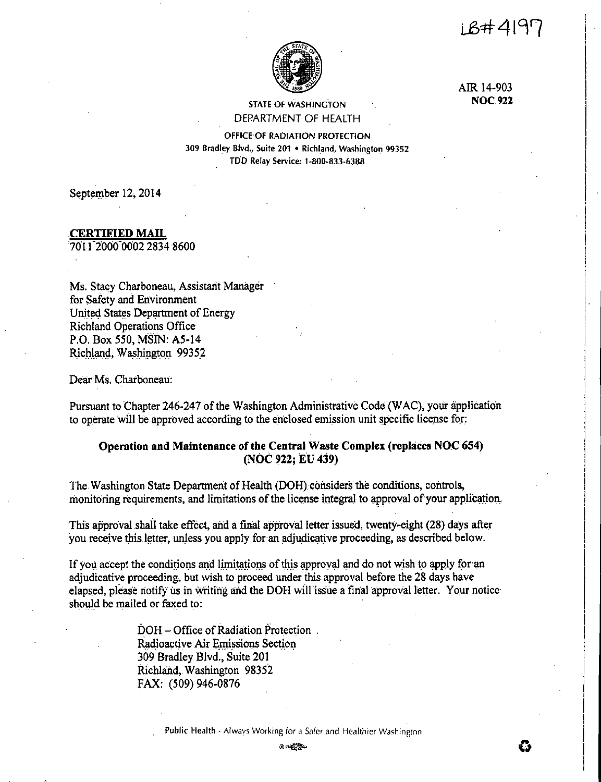LB#4197



AIR 14-903 **NOC.922** 

## STATE OF WASHINGTON DEPARTMENT OF HEALTH

OFFICE OF RADIATION PROTECTION 309 Bradley Blvd., Suite 201 • Richl\_and, Washington 99352 T!)0 Relay Service: 1-800-833-6388

September 12, 2014

# **.CERTIFIED MAIL**

*101* r:2000-0002 2834 8600

Ms. Stacy Charboneau, Assistarit Manager for Safety and Environment United States Department of Energy Richland Operations Office P.O. Box 550, MSIN: A5-14 Richland. Washington 99352

Dear Ms. Charboneau:

Pursuant to Chapter 246-247 of the Washington Administrative Code (WAC), your application to operate will be approved according to the enclosed emission unit specific license for:

# **Operation and Maintenance of the Central Waste Complex (replaces NOC 654) (NOC 922; EU 439)**

The Washington State Department of Health (DOH) considers the conditions, controls, monitoring requirements, and limitations of the license integral to approval of your application.

This approval shall take effect, and a final approval letter issued, twenty-eight (28) days after you receive this letter, unless you apply for an adjudicative proceeding, as described below.

If you accept the conditions and limitations of this approval and do not wish to apply for an adjudicative proceeding, but wish to proceed under this approval before the 28 days have elapsed, please notify us in writing and the DOH will issue a final approval letter. Your notice should be mailed or faxed to:

> DOH – Office of Radiation Protection. Radioactive Air Emissions Section 309 Bradley Blvd., Suite 201 Richland, Washington 98352 FAX: (509) 946-0876

> > Public Health - Always Working for a Safer and Healthier Washington

@·~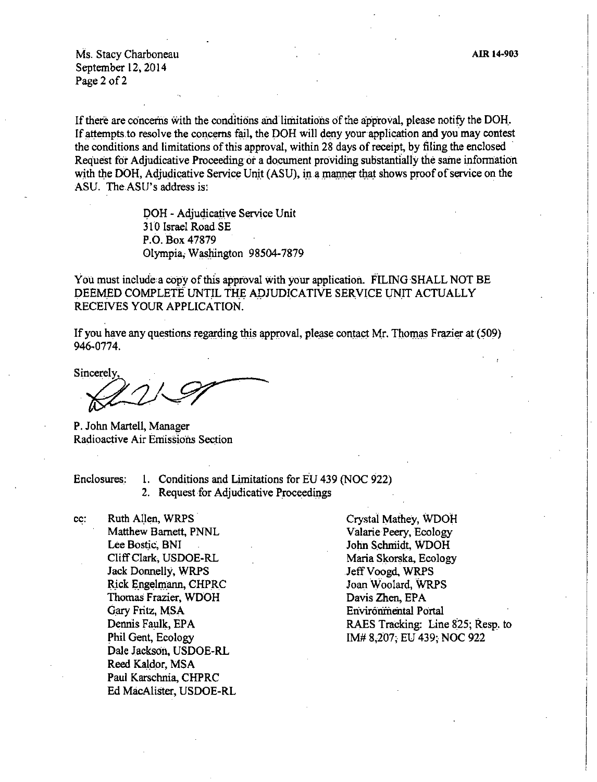Ms. Stacy Charboneau September 12, 2014 Page 2 of 2

If there are concerns with the conditions and limitations of the approval, please notify the DOH. If attempts to resolve the concerns fail, the DOH will deny your application and you may contest the conditions and limitations of this approval, within 28 days of receipt, by filing the enclosed Request for Adjudicative Proceeding or a document providing substantially the same information with the DOH, Adjudicative Service Unit (ASU), in a manner that shows proof of service on the ASU. The ASU's address is:

> DOH - Adjudicative Service Unit 310 Israel Road SE P.O. Box 47879 Olympia, Washington 98504-7879

You must include a copy of this approval with your application. FILING SHALL NOT BE DEEMED COMPLETE UNTIL THE ADJUDICATIVE SERVICE UNIT ACTUALLY RECEIVES YOUR APPLICATION.

If you have any questions regarding this approval, please contact Mr. Thomas Frazier at (509) 946-0774.

If you have any questions regarding this approval<br>946-0774.<br>Sincerely,  $2.97$ 

P. John Martell, Manager Radioactive Air Emissions Section

Enclosures: I. Conditions and Limitations for EU 439 (NOC 922)

2. Request for Adjudicative Proceedings

cc: Ruth Allen, WRPS Matthew Barnett, PNNL Lee Bostic; BNI Cliff Clark, USDOE-RL Jack Donnelly, WRPS Rick Engelmann, CHPRC Thomas Frazier, WDOH Gary Fritz, MSA Dennis Faulk, EPA Phil Gent, Ecology Dale Jackson, USDOE-RL Reed Kaldor, MSA Paul Karschnia, CHPRC Ed MacAlister, USDOE-RL Crystal Mathey, WDOH Valarie Peery, Ecology John Schniidt, WDOH Maria Skorska, Ecology Jeff Voogd. WRPS Joan Woolard, WRPS Davis Zhen, EPA Environmental Portal RAES Tracking: Line 825; Resp. to IM# 8,207; EU 439; NOC 922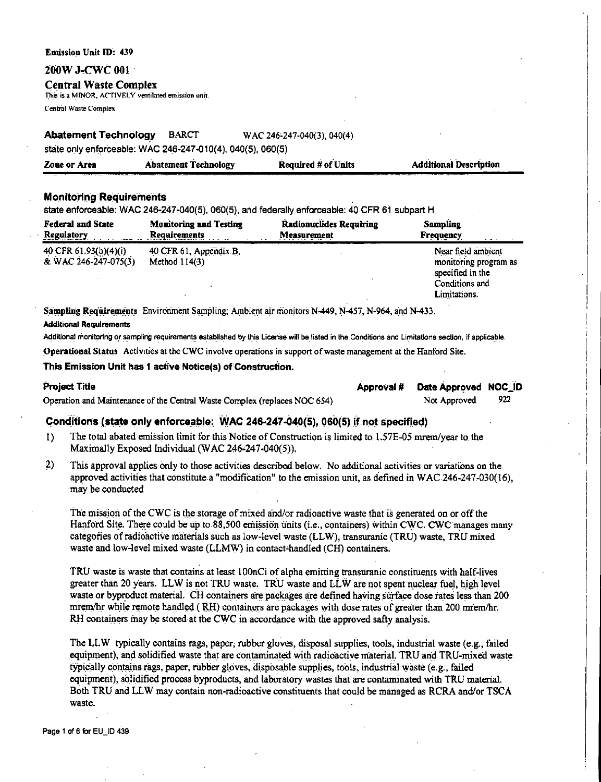#### **Emission Unit ID: 439**

#### 200W J-CWC 001

#### **Central Waste Complex**

This is a MINOR, ACTIVELY ventilated emission unit.

Central Waste Complex

#### **Abatement Technology BARCT** WAC 246-247-040(3), 040(4)

state only enforceable: WAC 246-247-010(4), 040(5), 060(5)

| Zone or Area | <b>Abatement Technology</b> | <b>Required # of Units</b> | <b>Additional Description</b><br>. |
|--------------|-----------------------------|----------------------------|------------------------------------|
|              |                             |                            |                                    |

## **Monitoring Requirements**

state enforceable; WAC 246-247-040(5), 060(5), and federally enforceable; 40 CFR 61 subpart H

| <b>Federal and State</b><br><b>Regulatory</b> | <b>Monitoring and Testing</b><br><b>Requirements</b> | <b>Radionuclides Requiring</b><br>Measurement | <b>Sampling</b><br>Frequency                                    |
|-----------------------------------------------|------------------------------------------------------|-----------------------------------------------|-----------------------------------------------------------------|
| 40 CFR 61.93(b)(4)(i)<br>& WAC 246-247-075(3) | 40 CFR 61, Appendix B,<br>Method $114(3)$            |                                               | Near field ambient<br>monitoring program as<br>specified in the |
|                                               |                                                      |                                               | Conditions and<br>Limitations.                                  |

Sampling Requirements Environment Sampling; Ambient air monitors N-449, N-457, N-964, and N-433. **Additional Requirements** 

Additional monitoring or sampling requirements established by this License will be listed in the Conditions and Limitations section, if applicable.

Operational Status Activities at the CWC involve operations in support of waste management at the Hanford Site.

#### This Emission Unit has 1 active Notice(s) of Construction.

| Project Title                                                             | Approval # Date Approved NOC_ID |       |
|---------------------------------------------------------------------------|---------------------------------|-------|
| Operation and Maintenance of the Central Waste Complex (replaces NOC 654) | Not Approved                    | - 922 |

## Conditions (state only enforceable: WAC 246-247-040(5), 060(5) if not specified)

- The total abated emission limit for this Notice of Construction is limited to 1.57E-05 mrem/year to the  $\mathbf{D}$ Maximally Exposed Individual (WAC 246-247-040(5)).
- $2)$ This approval applies only to those activities described below. No additional activities or variations on the approved activities that constitute a "modification" to the emission unit, as defined in WAC 246-247-030(16), may be conducted

The mission of the CWC is the storage of mixed and/or radioactive waste that is generated on or off the Hanford Site. There could be up to 88,500 emission units (i.e., containers) within CWC. CWC manages many categories of radioactive materials such as low-level waste (LLW), transuranic (TRU) waste, TRU mixed waste and low-level mixed waste (LLMW) in contact-handled (CH) containers.

TRU waste is waste that contains at least 100nCi of alpha emitting transuranic constituents with half-lives greater than 20 years. LLW is not TRU waste. TRU waste and LLW are not spent nuclear fuel, high level waste or byproduct material. CH containers are packages are defined having surface dose rates less than 200 mrem/hr while remote handled (RH) containers are packages with dose rates of greater than 200 mrem/hr. RH containers may be stored at the CWC in accordance with the approved safty analysis.

The LLW typically contains rags, paper, rubber gloves, disposal supplies, tools, industrial waste (e.g., failed equipment), and solidified waste that are contaminated with radioactive material. TRU and TRU-mixed waste typically contains rags, paper, rubber gloves, disposable supplies, tools, industrial waste (e.g., failed equipment), solidified process byproducts, and laboratory wastes that are contaminated with TRU material. Both TRU and LLW may contain non-radioactive constituents that could be managed as RCRA and/or TSCA waste.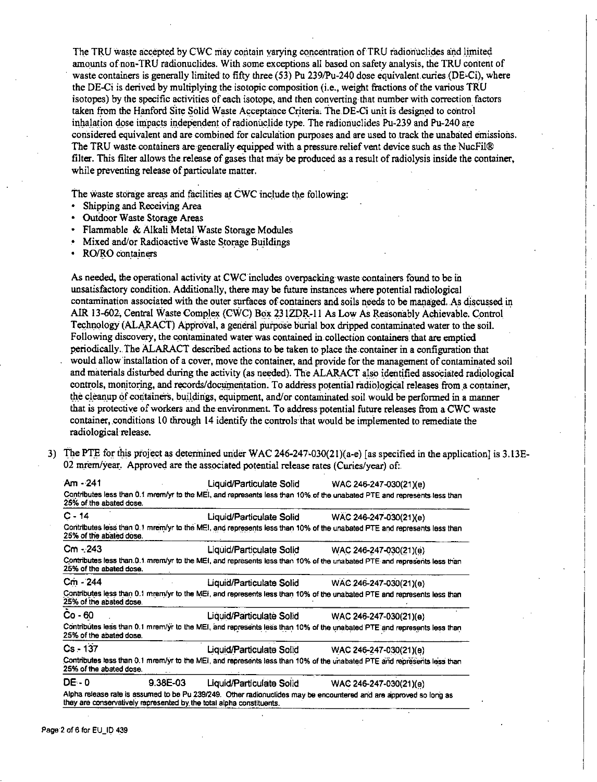The TRU waste accepted by CWC may contain varying concentration of TRU radionuclides and limited amounts of non-TRU radionuclides. With some exceptions all based on safety analysis, the TRU content of waste containers is generally limited to fifty three (53) Pu 239/Pu-240 dose equivalent curies (DE-Ci), where the DE-Ci is derived by multiplying the isotopic composition (i.e., weight fractions of the various TRU isotopes) by the specific activities of each isotope, and then converting that number with correction factors taken from the Hanford Site Solid Waste Acceptance Criteria. The DE-Ci unit is designed to control inhalation dose impacts independent of radionuclide type. The radionuclides Pu-239 and Pu-240 are considered equivalent and are combined for calculation purposes and are used to track the unabated emissions. The TRU waste containers are generally equipped with a pressure relief vent device such as the NucFil® filter. This filter allows the release of gases that may be produced as a result of radiolysis inside the container, while preventing release of particulate matter.

The waste storage areas and facilities at CWC include the following:

- Shipping and Receiving Area .
- Outdoor Waste Storage Areas
- · Flammable & Alkali Metal Waste Storage Modules
- Mixed and/or Radioactive Waste Storage Buildings
- RO/RO containers

As needed, the operational activity at CWC includes overpacking waste containers found to be in unsatisfactory condition. Additionally, there may be future instances where potential radiological contamination associated with the outer surfaces of containers and soils needs to be managed. As discussed in AIR 13-602, Central Waste Complex (CWC) Box 231ZDR-11 As Low As Reasonably Achievable. Control Technology (ALARACT) Approval, a general purpose burial box dripped contaminated water to the soil. Following discovery, the contaminated water was contained in collection containers that are emptied periodically. The ALARACT described actions to be taken to place the container in a configuration that would allow installation of a cover, move the container, and provide for the management of contaminated soil and materials disturbed during the activity (as needed). The ALARACT also identified associated radiological controls, monitoring, and records/documentation. To address potential radiological releases from a container, the cleanup of containers, buildings, equipment, and/or contaminated soil would be performed in a manner that is protective of workers and the environment. To address potential future releases from a CWC waste container, conditions 10 through 14 identify the controls that would be implemented to remediate the radiological release.

3) The PTE for this project as determined under WAC 246-247-030(21)(a-e) [as specified in the application] is 3.13E-02 mrem/year. Approved are the associated potential release rates (Curies/year) of:

| Am - 241                |          | Liquid/Particulate Solid                                             | WAC 246-247-030(21)(e)                                                                                                  |
|-------------------------|----------|----------------------------------------------------------------------|-------------------------------------------------------------------------------------------------------------------------|
| 25% of the abated dose. |          |                                                                      | Contributes less than 0.1 mrem/yr to the MEI, and represents less than 10% of the unabated PTE and represents less than |
| $C - 14$                |          | Liquid/Particulate Solid                                             | WAC 246-247-030(21)(e)                                                                                                  |
| 25% of the abated dose. |          |                                                                      | Contributes less than 0.1 mrem/yr to the MEI, and represents less than 10% of the unabated PTE and represents less than |
| Cm - 243                |          | Liquid/Particulate Solid                                             | WAC 246-247-030(21)(e)                                                                                                  |
| 25% of the abated dose. |          |                                                                      | Contributes less than 0.1 mrem/yr to the MEI, and represents less than 10% of the unabated PTE and represents less than |
| Cm - 244                |          | Liquid/Particulate Solid                                             | WAC.246-247-030(21)(e)                                                                                                  |
| 25% of the abated dose. |          |                                                                      | Contributes less than 0.1 mrem/yr to the MEI, and represents less than 10% of the unabated PTE and represents less than |
| Co - 60                 |          | Liquid/Particulate Solid                                             | WAC 246-247-030(21)(e)                                                                                                  |
| 25% of the abated dose. |          |                                                                      | Contributes less than 0.1 mrem/yr to the MEI, and represents less than 10% of the unabated PTE and represents less than |
| $Cs - 137$              |          | Liquid/Particulate Solid                                             | WAC 246-247-030(21)(e)                                                                                                  |
| 25% of the abated dose. |          |                                                                      | Contributes less than 0.1 mrem/yr to the MEI, and represents less than 10% of the unabated PTE and represents less than |
| DE 0                    | 9.38E-03 | Liquid/Particulate Solid                                             | WAC 246-247-030(21)(e)                                                                                                  |
|                         |          | they are conservatively represented by the total ainha constituents. | Alpha release rate is assumed to be Pu 239/249. Other radionuclides may be encountered and are approved so long as      |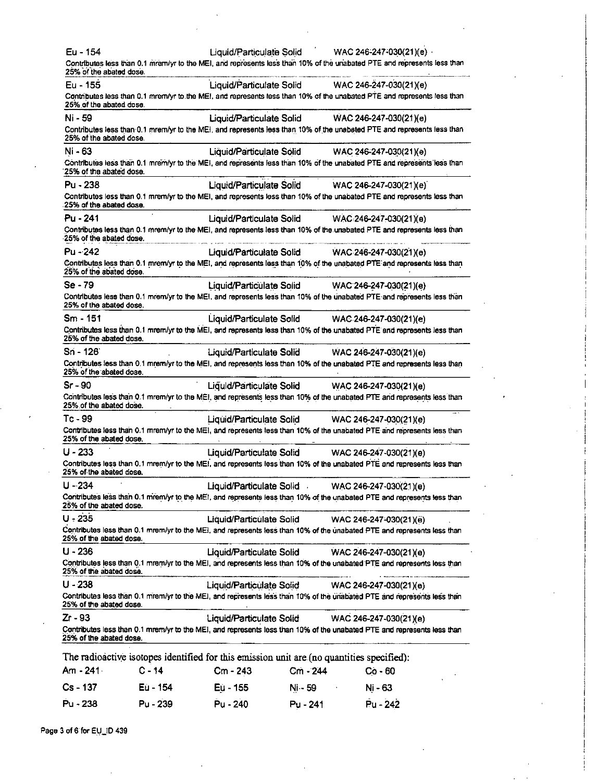| Eu - 154<br>25% of the abated dose. |          |                          |            | Liquid/Particulate Solid WAC 246-247-030(21)(e)<br>Contributes less than 0.1 mrem/yr to the MEI, and represents less than 10% of the unabated PTE and represents less than |
|-------------------------------------|----------|--------------------------|------------|----------------------------------------------------------------------------------------------------------------------------------------------------------------------------|
| Eu - 155                            |          |                          |            | Liquid/Particulate Solid WAC 246-247-030(21)(e)                                                                                                                            |
| 25% of the abated dose.             |          |                          |            | Contributes less than 0.1 mrem/yr to the MEI, and represents less than 10% of the unabated PTE and represents less than                                                    |
| Ni - 59                             |          |                          |            | Liquid/Particulate Solid WAC 246-247-030(21)(e)                                                                                                                            |
| 25% of the abated dose.             |          |                          |            | Contributes less than 0.1 mrem/yr to the MEI, and represents less than 10% of the unabated PTE and represents less than                                                    |
| Ni - 63                             |          |                          |            | Liquid/Particulate Solid WAC 246-247-030(21)(e)                                                                                                                            |
| 25% of the abated dose.             |          |                          |            | Contributes less than 0.1 mrem/yr to the MEI, and represents less than 10% of the unabated PTE and represents less than                                                    |
| $Pu - 238$                          |          | Liquid/Particulate Solid |            | WAC 246-247-030(21)(e)                                                                                                                                                     |
| 25% of the abated dose.             |          |                          |            | Contributes less than 0.1 mrem/yr to the MEI, and represents less than 10% of the unabated PTE and represents less than                                                    |
| Pu - 241                            |          | Liquid/Particulate Solid |            | WAC 246-247-030(21)(e)                                                                                                                                                     |
| 25% of the abated dose.             |          |                          |            | Contributes less than 0.1 mrem/yr to the MEI, and represents less than 10% of the unabated PTE and represents less than                                                    |
| $Pu - 242$                          |          | Liquid/Particulate Solid |            | WAC 246-247-030(21)(e)                                                                                                                                                     |
| 25% of the abated dose.             |          |                          |            | Contributes less than 0.1 mrem/yr to the MEI, and represents less than 10% of the unabated PTE and represents less than                                                    |
| Se - 79                             |          |                          |            | Liquid/Particulate Solid WAC 246-247-030(21)(e)                                                                                                                            |
| 25% of the abated dose.             |          |                          |            | Contributes less than 0.1 mrem/yr to the MEI, and represents less than 10% of the unabated PTE and represents less than                                                    |
| $Sm - 151$                          |          |                          |            | Liquid/Particulate Solid WAC 246-247-030(21)(e)                                                                                                                            |
| 25% of the abated dose.             |          |                          |            | Contributes less than 0.1 mrem/yr to the MEI, and represents less than 10% of the unabated PTE and represents less than                                                    |
| Sn - 126                            |          |                          |            | Liquid/Particulate Solid WAC 246-247-030(21)(e)                                                                                                                            |
| 25% of the abated dose.             |          |                          |            | Contributes less than 0.1 mrem/yr to the MEI, and represents less than 10% of the unabated PTE and represents less than                                                    |
| Sr - 90                             |          | Liquid/Particulate Solid |            | WAC 246-247-030(21)(e)                                                                                                                                                     |
| 25% of the abated dose.             |          |                          |            | Contributes less than 0.1 mrem/yr to the MEI, and represents less than 10% of the unabated PTE and represents less than                                                    |
| Tc - 99                             |          | Liquid/Particulate Solid |            | WAC 246-247-030(21)(e)                                                                                                                                                     |
| 25% of the abated dose.             |          |                          |            | Contributes less than 0.1 mrem/yr to the MEI, and represents less than 10% of the unabated PTE and represents less than                                                    |
| U - 233                             |          | Liquid/Particulate Solid |            | WAC 246-247-030(21)(e)                                                                                                                                                     |
| 25% of the abated dose.             |          |                          |            | Contributes less than 0.1 mrem/yr to the MEI, and represents less than 10% of the unabated PTE and represents less than                                                    |
| U - 234                             |          | Liquid/Particulate Solid |            | WAC 246-247-030(21)(e)                                                                                                                                                     |
| 25% of the abated dose.             |          |                          |            | Contributes less than 0.1 mrem/yr to the MEI, and represents less than 10% of the unabated PTE and represents less than                                                    |
| $U - 235$                           |          | Liquid/Particulate Solid |            | WAC 246-247-030(21)(e)                                                                                                                                                     |
| 25% of the abated dose.             |          |                          |            | Contributes less than 0.1 mrem/yr to the MEI, and represents less than 10% of the unabated PTE and represents less than                                                    |
| U - 236                             |          | Liquid/Particulate Solid |            | WAC 246-247-030(21)(e)                                                                                                                                                     |
| 25% of the abated dose.             |          |                          |            | Contributes less than 0.1 mrem/yr to the MEI, and represents less than 10% of the unabated PTE and represents less than                                                    |
| U - 238                             |          | Liquid/Particulate Solid |            | WAC 246-247-030(21)(e)                                                                                                                                                     |
| 25% of the abated dose.             |          |                          |            | Contributes less than 0.1 mrem/yr to the MEI, and represents less than 10% of the unabated PTE and represents less than                                                    |
| Zr - 93                             |          | Liquid/Particulate Solid |            | WAC 246-247-030(21)(e)                                                                                                                                                     |
| 25% of the abated dose.             |          |                          |            | Contributes less than 0.1 mrem/yr to the MEI, and represents less than 10% of the unabated PTE and represents less than                                                    |
|                                     |          |                          |            | The radioactive isotopes identified for this emission unit are (no quantities specified):                                                                                  |
| Am - 241                            | C - 14   | Cm - 243                 | $Cm - 244$ | $Co-60$                                                                                                                                                                    |
| $Cs - 137$                          | Eu - 154 | Eù - 155                 | Ni - 59    | Ni - 63                                                                                                                                                                    |

Pu - 240

Pu - 241

Pu - 242

Page 3 of 6 for EU\_ID 439

Pu - 238

Pu - 239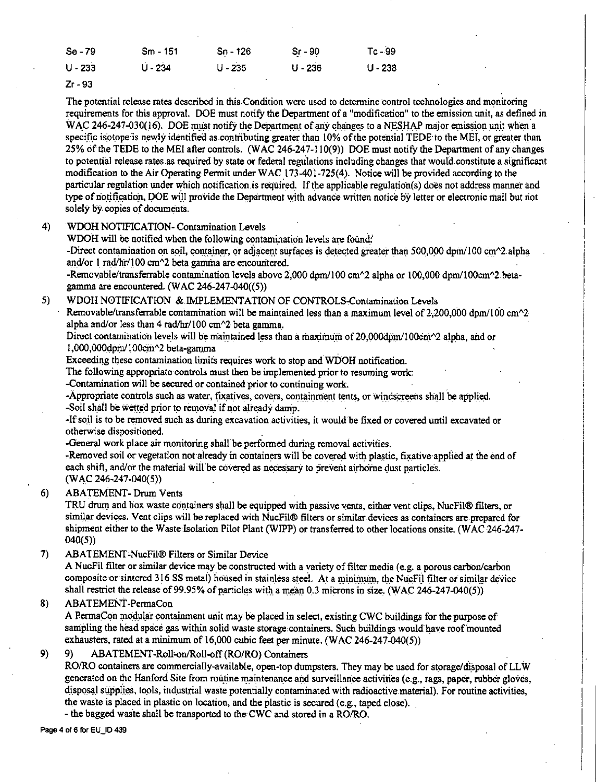| $Se-79$   | Sm - 151  | Sn - 126  | $Sr - 90$ | Tc - 99   |
|-----------|-----------|-----------|-----------|-----------|
| $U - 233$ | $U - 234$ | $U - 235$ | $U - 236$ | $U - 238$ |
| $ -$      |           |           |           |           |

Zr-93

The potential release rates described in this Condition were used to determine control technologies and monitoring requirements for this approval. DOE must notify the Department of a "modification" to the emission unit, as defined in WAC 246-247-030(16). DOE must notify the Department of any changes to a NESHAP major emission unit when a specific isotope'is newly identified as contributing greater than 10% of the potential TEDE to the MEI, or greater than 25% of the TEDE to the MEI after controls. (WAC 246-247-110(9)) DOE must notify the Department of any changes to potential release rates as required by state or federal regulations including changes that would constitute a significant modification to the Air Operating Permit under WAC 173-401-725(4). Notice will be provided according to the particular regulation under which notification is required\_. If the applicable regulation(s) does not address manner and type of notification, DOE will provide the Department with advance written notice by letter or electronic mail but not solely by copies of documents.

## 4) WDOH NOTIFICATION- Contamination Levels

WDOH will be notified when the following contamination levels are found:'

-Direct contamination on soil, container, or adjacent surfaces is detected greater than 500,000 dpm/100 cm $\sim$ 2 alpha and/or  $1 \text{ rad/hr} / 100 \text{ cm}$ <sup>2</sup> beta gamma are encountered.

-Removable/transferrable contamination levels above 2,000 dpm/100 cm^2 alpha or 100,000 dpm/100cm^2 betagamma are encountered. (WAC 246-247-040((5))

### 5) WDOH NOTIFICATION & IMPLEMENTATION OF CONTROLS-Contamination Levels

Removable/transferrable contamination will be maintained less than a maximum level of 2.200,000 dpm/100 cm $\gamma$ 2. alpha and/or less than 4 rad/hr/100 cm $\frac{2}{2}$  beta gamma.

Direct contamination levels will be maintained less than a maximum of 20,000dpm/100cm $\gamma$ 2 alpha, and or 1,000,000dpm/100cm^2 beta-gamma

Exceeding these contamination limits requires work to stop and WDOH notification.

The following appropriate-controls must then be implemented prior to resuming work:

-Contamination will be secured or contained prior to continuing work.

-Appropriate controls such as water, fixatives, covers, containment tents, or windscreens shall be applied. -Soil shall be wetted prior to removal if not already damp.

-If soil is to be removed such as during excavation activities, it would be fixed or covered until excavated or otherwise dispositioned.

-General work place air monitoring shall be performed during removal activities.

-Removed soil or vegetation not already in containers will be covered with plastic, fixative applied at the end of each shift, and/or the material will be covered as necessary to prevent airborne dust particles. (WAC 246-247-040(5))

#### 6) ABATEMENT- Drum Vents

TRU drum and box waste containers shall be equipped with passive vents, either vent clips, NucFil® filters, or similar devices. Vent clips will be replaced with NucFil® filters or similar devices as containers are prepared for shipment either to the Waste Isolation Pilot Plant (WIPP) or transferred to other locations onsite. (WAC 246-247- 040(5))

#### 7) ABATEMENT=NucFil® Filters or Similar Device

A NucFil filter or similar device may be constructed with a variety of filter media (e.g. a porous carbon/carbon composite or sintered 316 SS metal) housed in stainless steel. At a minimum, the NucFil filter or similar device shall restrict the release of 99.95% of particles with a mean 0.3 microns in size. (WAC 246-247-040(5))

## 8) ABATEMENT-PermaCon

A PermaCon modular containment unit may be placed in select, existing CWC buildings for the purpose of sampling the head space gas within solid waste storage containers. Such buildings would have roof mounted exhausters, rated at a minimum of 16,000 cubic feet per minute. (WAC 246-247-040(5))

## 9) 9) ABATEMENT-Roll-on/Roll-off (RO/RO) Containers

RO/RO containers are commercially-available, open-top dumpsters. They may be used for storage/disposal of LLW generated on the Hanford Site from routine maintenance and surveillance activities (e.g., rags, paper, rubber gloves, disposal supplies, tools, industrial waste potentially contaminated with radioactive material). For routine activities, the waste is placed in plastic on location, and the plastic is secured (e.g., taped close).

- the bagged waste shall be transported to the CWC and stored in a RO/RO.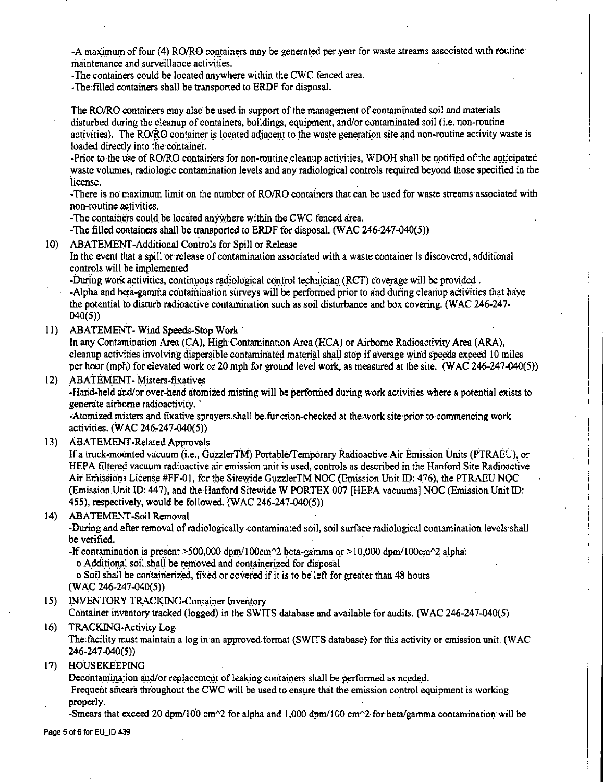-A maximum of four (4) RO/RO containers may be generated per year for waste streams associated with routine maintenance and surveillance activities.

-The containers could be located anywhere within the CWC fenced area.

-The filled containers shall be transported to ERDF for disposal.

The RO/RO containers may also be used in support of the management of contaminated soil and materials disturbed during the cleanup of containers, buildings, equipment, and/or contaminated soil (i.e. non-routine activities). The RO/RO container is located adjacent to the waste generation site and non-routine activity waste is loaded directly into the container.

-Prior to the use of RO/RO containers for non-routine cleanup activities, WDOH shall be notified of the anticipated waste volumes, radiologic,contamination levels and any radiological controls required beyond those specified in the license.

-There is no maximum limit on the number of RO/RO containers that can be used for waste streams associated with  $non$ -routine *activities*.

-The containers could be located anywhere within the CWC fenced area.

-The filled containers shall be transported to ERDF for disposal. (WAC 246-247-040(5))

10) ABATEMENT-Additional Controls for Spill or Release

In the event that a spill or release of contamination associated with a waste container is discovered, additional controls will be implemented

-During work activities, continuous radiological control technician (RCT) coverage will be provided . -Alpha and beta-gamma contamination surveys will be performed prior to and during cleanup activities that have the potential to disturb radioactive contamination such as soil disturbance and box covering. (WAC 246-247- 040(5))

l l) ABATEMENT-Wind Speeds-Stop Work·

In any Contamination Area (CA), High Contamination Area (HCA) or Airborne Radioactivity Area (ARA), cleanup activities involving dispersible contaminated material shall stop if average wind speeds exceed 10 miles per hour (mph) for elevated work or 20 mph for ground level work, as measured at the site. (WAC 246-247-040(5))

12) ABATEMENT-Misters-fixatives

-Harid-held and/or over-head atomized misting will be performed during work activities where a potential exists to generate airborne radioactivity. ·

-Atomized misters and fixative sprayers shall be function-checked at the work site prior to commencing work activities. (WAC 246,247-040(5))

13) ABATEMENT-Related Approvals

If a truck-mounted vacuum (i.e., GuzzlerTM) Portable/femporary Radioactive Air Emission Units (PTRAEU), or HEPA filtered vacuum radioactive air emission unit is used, controls as described in the Hanford Site Radioactive Air Emissions License #FF-01, for the Sitewide GuzzlerTM NOC (Emission Unit ID: 476), the PTRAEU NOC (Emission Unit ID: 447), and the Hanford Sitewide W PORTEX 007 [HEPA vacuums] NOC (Emission Unit ID: 455), respectively, would be followed.  $(WAC 246-247-040(5))$ 

14) ABATEMENT-Soil Removal

-During and after removal of radiologically-contaminated soil, soil surface radiological contamination levels shall be verified.

-If contamination is present  $>500,000$  dpm/100cm $\textdegree$ 2 beta-gamma or $>10,000$  dpm/100cm $\textdegree$ 2 alpha: o Additional soil shall be removed and containerized for disposal

o Soil shall be containerized, fixed or covered if it is to be left for greater than 48 hours

 $(WAC 246-247-040(5))$ 

15) INVENTORY TRACKING-Container Inventory

Container inventory tracked (logged) in the SWITS database and available for audits. (WAC 246-247-040(5)

### 16) TRACKING-Activity Log-

The facility must maintain a log in an approved format (SWITS database) for this activity or emission unit. (WAC 246-24 7-040(5))

17) HOUSEKEEPING

Decontamination and/or replacement of leaking containers shall be performed as needed.

Frequent sinears throughout the CWC will be used to ensure that the emission control equipment is working properly. The contract of the contract of the contract of the contract of the contract of the contract of the contract of the contract of the contract of the contract of the contract of the contract of the contract of the

-Smears that exceed 20 dpm/100 cm<sup> $\sim$ </sup>2 for alpha and 1,000 dpm/100 cm $\sim$ 2 for beta/gamma contamination will be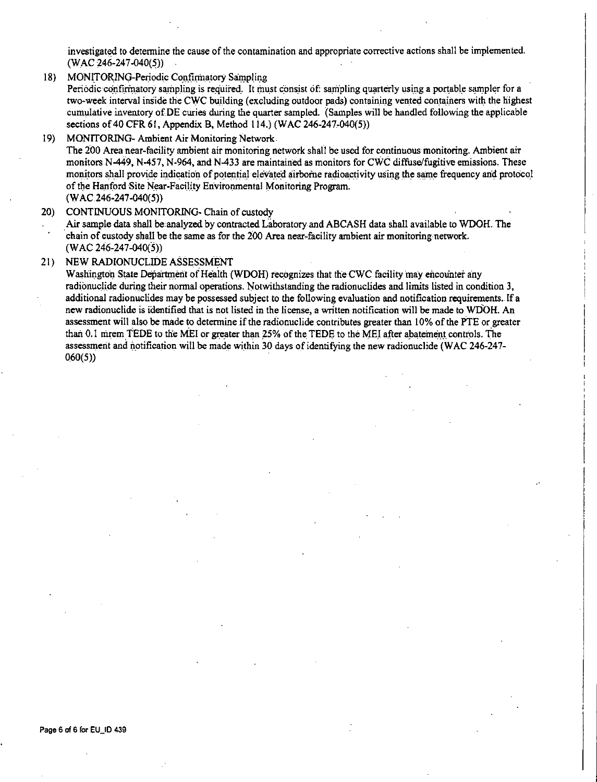investigated to determine the cause of the contamination and appropriate corrective actions shall be implemented. (WAC 246-247-040(5))

18) MONITORING-Periodic Confirmatory Sampling

Periodic confirmatory sampling is required. It must consist of: sampling quarterly using a portable sampler for a two-week interval inside the CWC building (excluding outdoor pads) containing vented containers with the highest cumulative inventory of DE curies during the quarter sampled. (Samples will be handled following the applicable sections of 40 CFR 61, Appendix B, Method 114.) (WAC 246-247-040(5))

l 9) MONITORING- Ambient Air Monitoring Network.

The 200 Area near-facility ambient air monitoring network shall be used for continuous monitoring. Ambient air monitors N-449, N-457, N-964, and N-433 are maintained as monitors for CWC diffuse/fugitive emissions. These monitors shall provide indication of potential elevated airborne radioactivity using the same frequency and protocol of the Hanford Site Near-Facility Environmental Monitoring Program. (WAC 246-247-040(5))

20) CONTINUOUS MONITORING- Chain of custody

Air sample data shall be analyzed by contracted Laboratory and ABCASH data shall available to WDOH. The chain of custody shall be the same as for the 200 Area near-facility ambient air monitoring network. (WAC 246-247-040(5))

#### 21) NEW RADIONUCLIDEASSESSMENT

Washington State Department of Health (WDOH) recognizes that the CWC facility may encounter any radionuclide during their normal operations. Notwithstanding the radionuclides and limits listed in condition 3, additional radionuclides may be possessed subject to the following evaluation and notification requirements. If a new radionuclide is identified that is not listed in the license, a written notification will be made to WDOH. An assessment will also be made to determine if the radionuclide contributes greater than 10% of the PTE or greater than 0.1 mrem TEDE to the MEI or greater than 25% of the TEDE to the MEI after abatement controls. The assessment and notification will be made within 30 days of identifying the new radionuclide (WAC 246-247-060(5))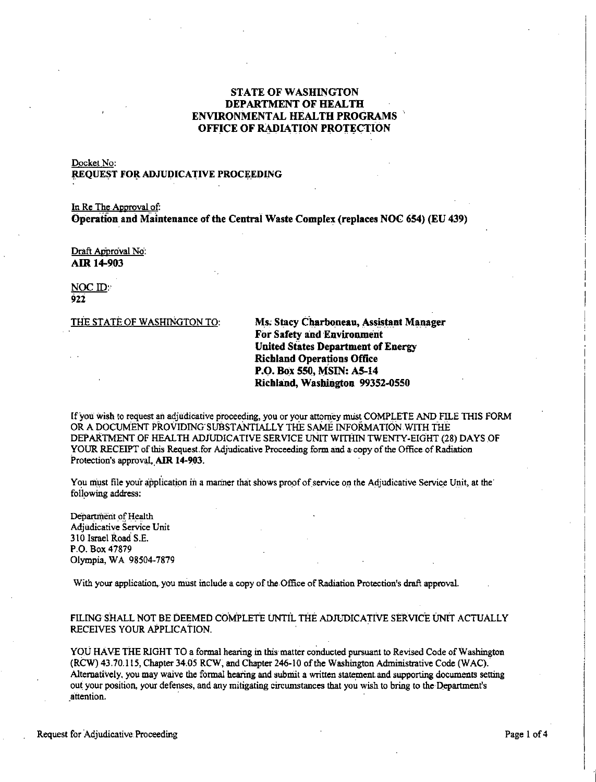## **STATE OF WASHINGTON DEPARTMENT OF HEALTH ENVIRONMENTAL HEALTH PROGRAMS OFFICE OF RADIATION PROTECTION**

## Docket No: **REQUEST FOR ADJUDICATIVE PROCEEDING**

In Re The Approval of: **Operation and Maintenance of the Central Waste Complex (replaces NOC 654) (EU 439)** 

Draft Approval No: **AIR 14-903** 

NOC ID: **921** 

THE STATE OF WASHINGTON TO: **Ms. Stacy Charboneau, Assistant Manager For Safety and Environment United States Department of Energy Richland Operations Office P.O. Bo:x 550, MSIN: AS-14 Richland, Wasbiogton 99352-0550** 

If *you* wish to request an adjudicative proceeding, you or your attorney must COMP.LETE AND FILE THIS FORM OR A DOCUMENT PR.OVIDING'SUBSTANTIALL Y THE SAME INFORMATION WITH THE DEPARTMENT OF HEALTH ADJUDICATIVE SERVICE UNIT WITHIN TWENTY-EIGHT (28) DAYS OF YOUR RECEIPT of this Request.for Adjudicative Proceeding form and a copy of the Office of Radiation Protection's approval. AIR 14-903.

You must file your application in a manner that shows proof of service on the Adjudicative Service Unit, at the following address:

Department of Health Adjudicative Service Unit 310 Israel Road S.E. P.O. Box 4 7879 Olympia, WA 98504-7879

With your application, you must include a copy of the Office of Radiation Protection's draft approval.

FILING SHALL NOT BE DEEMED COMPLETE UNTIL THE ADJUDICATIVE SERVICE UNIT ACTUALLY RECEIVES YOUR APPLICATION.

YOU HAVE THE RIGHT TO a formal hearing in this matter conducted pursuant to Revised Code of Washington (RCW) 43.70.115, Chapter 34.05 RCW, and Chapter 246-10 of the Washington Administrative Code (WAC). Alternatively, you may waive the formal hearing and submit a written statement and supporting documents setting out your position, your defenses, and any mitigating circumstances that you wish to bring to the Department's **\_attention.** .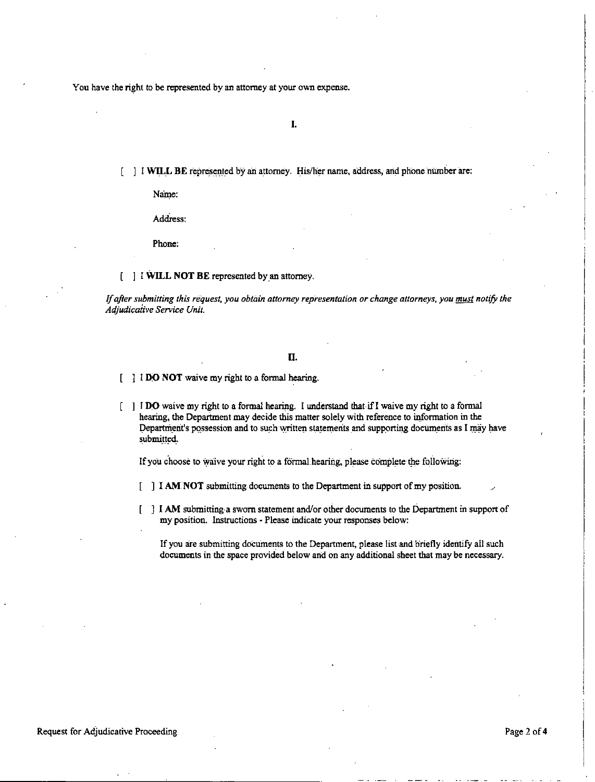You have the right to be represented by an attorney at your own expense.

**I.** 

[  $\Box$  **I WILL BE** represented by an attorney. His/her name, address, and phone number are:

Name:

Address:

Phone:

[ ] l **WILL NOT BE** represented by\_an attorney.

If after submitting this request, you obtain attorney representation or change attorneys, you *must* notify the *Adjudicaiive Service Unit.* 

#### II.

l **DO NOT** waive my right to a formal hearing.

] l **D.O** waive my right to **a** formal hearing. [ understand that if! waive my right to a formal hearing, the Department may decide this matter solely with reference to information in the Department's possession and to such written statements and supporting documents as I may have submitted.

If you choose to waive your right to a formal hearing, please complete the following:

- ] I **AM NOT** submitting documents to the Department in support of my position.
- ] I **AM** submitting·• sworn statement and/or other documents to the Department in support of ſ my position. Instructions - Please indicate your responses below:

If you are submitting documents to the Department, please list and briefly identify all such documents in the space provided below and on any additional sheet that may be necessary.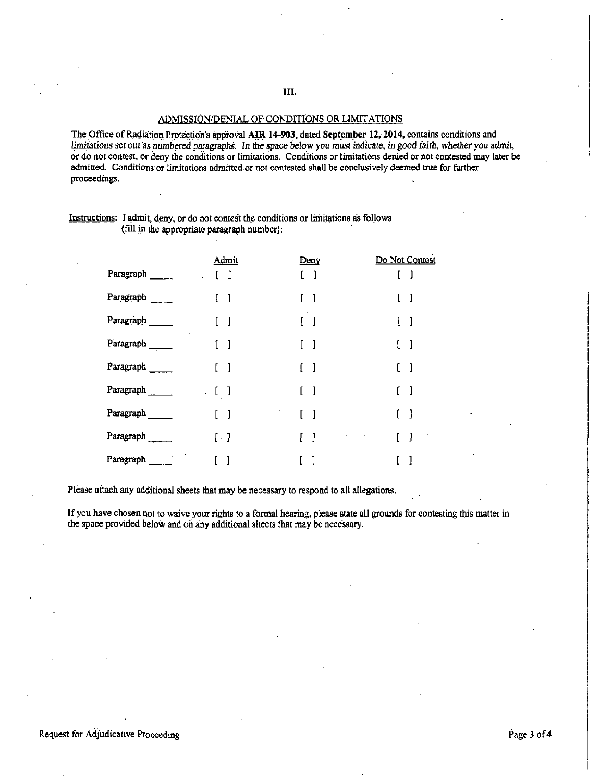## ADMISSION/DENIAL OF CONDITIONS OR LIMITATIONS

The Office of Radiation Protection's approval AIR 14-903, dated September 12, 2014, contains conditions and limitations set out as numbered paragraphs. In the space below you must indicate, in good faith, whether you admit, or do not contest, or deny the conditions or limitations. Conditions or limitations denied or not contested may later be admitted. Conditions or limitations admitted or not contested shall be conclusively deemed true for further proceedings.

| Instructions: I admit, deny, or do not contest the conditions or limitations as follows |  |
|-----------------------------------------------------------------------------------------|--|
| (fill in the appropriate paragraph number).                                             |  |

|           | Admit                                            | Deny                                           | Do Not Contest               |
|-----------|--------------------------------------------------|------------------------------------------------|------------------------------|
| Paragraph | J.                                               | $\left.\rule{0pt}{10pt}\right.1$               |                              |
| Paragraph | 1                                                | $\begin{bmatrix} 1 \end{bmatrix}$              | -1                           |
| Paragraph | $\mathbf{l}$                                     | $\begin{bmatrix} 1 \end{bmatrix}$              | L<br>I                       |
| Paragraph | $\mathbf{I}$                                     | ſ.<br>1                                        | ſ<br>1                       |
| Paragraph | $\left.\rule{0pt}{10pt}\right.1$<br>$\mathbf{L}$ | $\begin{bmatrix} 1 \end{bmatrix}$              | 1<br>ſ                       |
| Paragraph | $\begin{bmatrix} 1 \end{bmatrix}$<br>$\cdot$     | $\begin{bmatrix} 1 \end{bmatrix}$              | 1                            |
| Paragraph | 1                                                | $\begin{bmatrix} 1 \end{bmatrix}$              | -1<br>L                      |
| Paragraph | $[\cdot]$                                        | $\begin{bmatrix} 1 \end{bmatrix}$<br>$\bullet$ | -1<br>L<br><b>Contractor</b> |
| Paragraph |                                                  |                                                |                              |

Please aitach any additional sheets that may be necessary to respond to all allegations.

If you have chosen not to waive your rights to a formal hearing, please state all grounds for contesting this matter in the space provided below and on any additional sheets that may be necessary.

Request for Adjudicative Proceeding Page 3 of 4